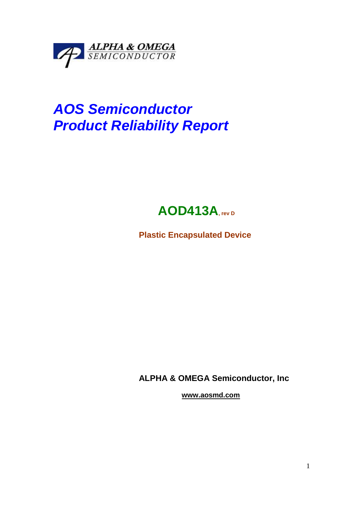

# **AOS Semiconductor Product Reliability Report**

## **AOD413A, rev D**

**Plastic Encapsulated Device** 

**ALPHA & OMEGA Semiconductor, Inc** 

 **www.aosmd.com**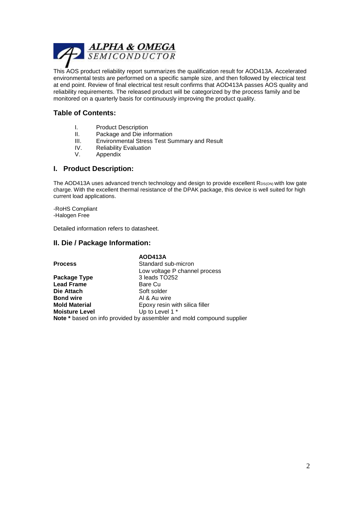

This AOS product reliability report summarizes the qualification result for AOD413A. Accelerated environmental tests are performed on a specific sample size, and then followed by electrical test at end point. Review of final electrical test result confirms that AOD413A passes AOS quality and reliability requirements. The released product will be categorized by the process family and be monitored on a quarterly basis for continuously improving the product quality.

#### **Table of Contents:**

- I. Product Description
- II. Package and Die information
- III. Environmental Stress Test Summary and Result
- IV. Reliability Evaluation
- V. Appendix

#### **I. Product Description:**

The AOD413A uses advanced trench technology and design to provide excellent RDS(ON) with low gate charge. With the excellent thermal resistance of the DPAK package, this device is well suited for high current load applications.

-RoHS Compliant -Halogen Free

Detailed information refers to datasheet.

#### **II. Die / Package Information:**

|                       | <b>AOD413A</b>                                                        |
|-----------------------|-----------------------------------------------------------------------|
| <b>Process</b>        | Standard sub-micron                                                   |
|                       | Low voltage P channel process                                         |
| Package Type          | 3 leads TO252                                                         |
| <b>Lead Frame</b>     | Bare Cu                                                               |
| Die Attach            | Soft solder                                                           |
| <b>Bond wire</b>      | Al & Au wire                                                          |
| <b>Mold Material</b>  | Epoxy resin with silica filler                                        |
| <b>Moisture Level</b> | Up to Level 1 *                                                       |
|                       | Note * based on info provided by assembler and mold compound supplier |